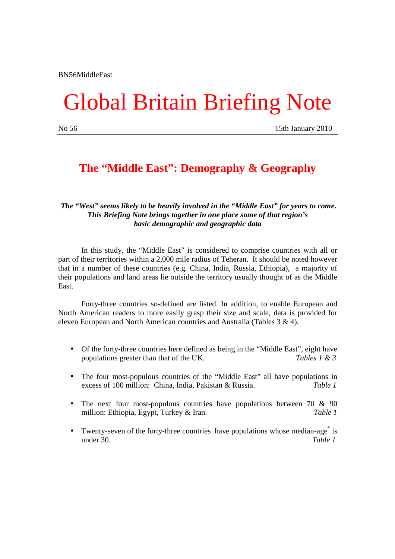# Global Britain Briefing Note

No 56 15th January 2010

### **The "Middle East": Demography & Geography**

#### *The "West" seems likely to be heavily involved in the "Middle East" for years to come. This Briefing Note brings together in one place some of that region's basic demographic and geographic data*

 In this study, the "Middle East" is considered to comprise countries with all or part of their territories within a 2,000 mile radius of Teheran. It should be noted however that in a number of these countries (e.g. China, India, Russia, Ethiopia), a majority of their populations and land areas lie outside the territory usually thought of as the Middle East.

 Forty-three countries so-defined are listed. In addition, to enable European and North American readers to more easily grasp their size and scale, data is provided for eleven European and North American countries and Australia (Tables 3 & 4).

- Of the forty-three countries here defined as being in the "Middle East", eight have populations greater than that of the UK. *Tables 1 & 3*
- The four most-populous countries of the "Middle East" all have populations in excess of 100 million: China, India, Pakistan & Russia. *Table 1*
- The next four most-populous countries have populations between 70 & 90 million: Ethiopia, Egypt, Turkey & Iran. *Table 1*
- Twenty-seven of the forty-three countries have populations whose median-age<sup>\*</sup> is under 30. *Table 1*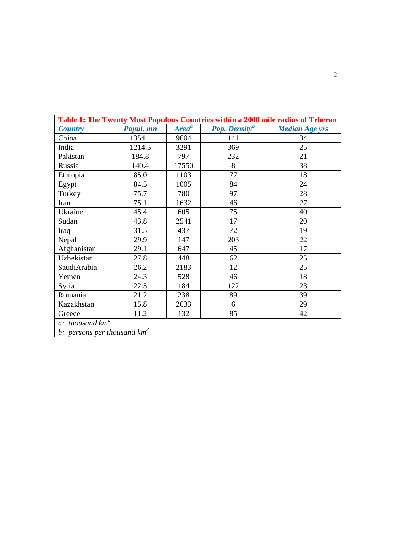| Table 1: The Twenty Most Populous Countries within a 2000 mile radius of Teheran |           |                   |                                  |                       |  |
|----------------------------------------------------------------------------------|-----------|-------------------|----------------------------------|-----------------------|--|
| <b>Country</b>                                                                   | Popul. mn | Area <sup>a</sup> | <b>Pop.</b> Density <sup>b</sup> | <b>Median Age yrs</b> |  |
| China                                                                            | 1354.1    | 9604              | 141                              | 34                    |  |
| India                                                                            | 1214.5    | 3291              | 369                              | 25                    |  |
| Pakistan                                                                         | 184.8     | 797               | 232                              | 21                    |  |
| Russia                                                                           | 140.4     | 17550             | 8                                | 38                    |  |
| Ethiopia                                                                         | 85.0      | 1103              | 77                               | 18                    |  |
| Egypt                                                                            | 84.5      | 1005              | 84                               | 24                    |  |
| Turkey                                                                           | 75.7      | 780               | 97                               | 28                    |  |
| Iran                                                                             | 75.1      | 1632              | 46                               | 27                    |  |
| Ukraine                                                                          | 45.4      | 605               | 75                               | 40                    |  |
| Sudan                                                                            | 43.8      | 2541              | 17                               | 20                    |  |
| Iraq                                                                             | 31.5      | 437               | 72                               | 19                    |  |
| Nepal                                                                            | 29.9      | 147               | 203                              | 22                    |  |
| Afghanistan                                                                      | 29.1      | 647               | 45                               | 17                    |  |
| Uzbekistan                                                                       | 27.8      | 448               | 62                               | 25                    |  |
| SaudiArabia                                                                      | 26.2      | 2183              | 12                               | 25                    |  |
| Yemen                                                                            | 24.3      | 528               | 46                               | 18                    |  |
| Syria                                                                            | 22.5      | 184               | 122                              | 23                    |  |
| Romania                                                                          | 21.2      | 238               | 89                               | 39                    |  |
| Kazakhstan                                                                       | 15.8      | 2633              | 6                                | 29                    |  |
| Greece                                                                           | 11.2      | 132               | 85                               | 42                    |  |
| a: thousand $km^2$                                                               |           |                   |                                  |                       |  |
| b: persons per thousand $km^2$                                                   |           |                   |                                  |                       |  |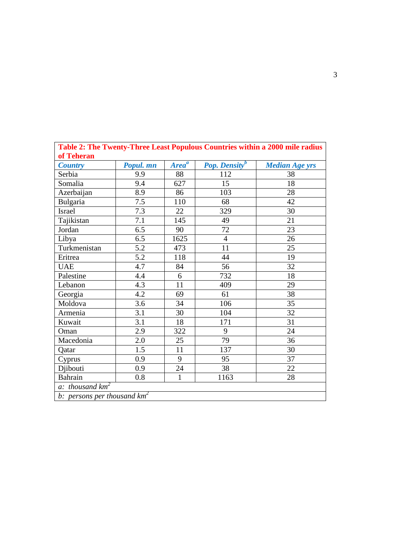| Table 2: The Twenty-Three Least Populous Countries within a 2000 mile radius |           |                   |                                  |                       |  |  |
|------------------------------------------------------------------------------|-----------|-------------------|----------------------------------|-----------------------|--|--|
| of Teheran                                                                   |           |                   |                                  |                       |  |  |
| <b>Country</b>                                                               | Popul. mn | Area <sup>a</sup> | <b>Pop.</b> Density <sup>b</sup> | <b>Median Age yrs</b> |  |  |
| Serbia                                                                       | 9.9       | 88                | 112                              | 38                    |  |  |
| Somalia                                                                      | 9.4       | 627               | 15                               | 18                    |  |  |
| Azerbaijan                                                                   | 8.9       | 86                | 103                              | 28                    |  |  |
| Bulgaria                                                                     | 7.5       | 110               | 68                               | 42                    |  |  |
| Israel                                                                       | 7.3       | 22                | 329                              | 30                    |  |  |
| Tajikistan                                                                   | 7.1       | 145               | 49                               | 21                    |  |  |
| Jordan                                                                       | 6.5       | 90                | 72                               | 23                    |  |  |
| Libya                                                                        | 6.5       | 1625              | $\overline{4}$                   | 26                    |  |  |
| Turkmenistan                                                                 | 5.2       | 473               | 11                               | 25                    |  |  |
| Eritrea                                                                      | 5.2       | 118               | 44                               | 19                    |  |  |
| <b>UAE</b>                                                                   | 4.7       | 84                | 56                               | 32                    |  |  |
| Palestine                                                                    | 4.4       | 6                 | 732                              | 18                    |  |  |
| Lebanon                                                                      | 4.3       | 11                | 409                              | 29                    |  |  |
| Georgia                                                                      | 4.2       | 69                | 61                               | 38                    |  |  |
| Moldova                                                                      | 3.6       | 34                | 106                              | 35                    |  |  |
| Armenia                                                                      | 3.1       | 30                | 104                              | 32                    |  |  |
| Kuwait                                                                       | 3.1       | 18                | 171                              | 31                    |  |  |
| Oman                                                                         | 2.9       | 322               | 9                                | 24                    |  |  |
| Macedonia                                                                    | 2.0       | 25                | 79                               | 36                    |  |  |
| Qatar                                                                        | 1.5       | 11                | 137                              | 30                    |  |  |
| Cyprus                                                                       | 0.9       | 9                 | 95                               | 37                    |  |  |
| Djibouti                                                                     | 0.9       | 24                | 38                               | 22                    |  |  |
| <b>Bahrain</b>                                                               | 0.8       | $\mathbf{1}$      | 1163                             | 28                    |  |  |
| a: thousand $km^2$                                                           |           |                   |                                  |                       |  |  |
| b: persons per thousand $km^2$                                               |           |                   |                                  |                       |  |  |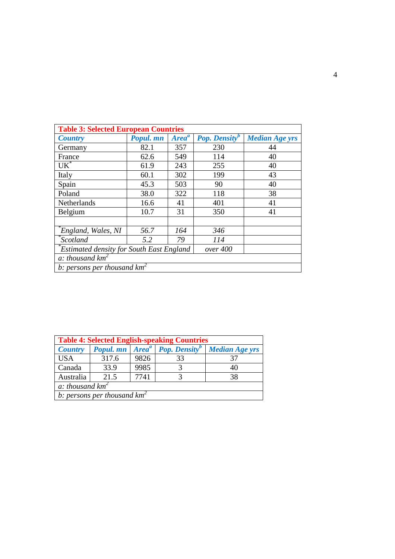| <b>Table 3: Selected European Countries</b>                 |           |                   |                                  |                       |  |
|-------------------------------------------------------------|-----------|-------------------|----------------------------------|-----------------------|--|
| <b>Country</b>                                              | Popul. mn | Area <sup>a</sup> | <b>Pop. Density</b> <sup>b</sup> | <b>Median Age yrs</b> |  |
| Germany                                                     | 82.1      | 357               | 230                              | 44                    |  |
| France                                                      | 62.6      | 549               | 114                              | 40                    |  |
| $UK^*$                                                      | 61.9      | 243               | 255                              | 40                    |  |
| Italy                                                       | 60.1      | 302               | 199                              | 43                    |  |
| Spain                                                       | 45.3      | 503               | 90                               | 40                    |  |
| Poland                                                      | 38.0      | 322               | 118                              | 38                    |  |
| Netherlands                                                 | 16.6      | 41                | 401                              | 41                    |  |
| Belgium                                                     | 10.7      | 31                | 350                              | 41                    |  |
|                                                             |           |                   |                                  |                       |  |
| England, Wales, NI                                          | 56.7      | 164               | 346                              |                       |  |
| Scotland <sup>*</sup>                                       | 5.2       | 79                | 114                              |                       |  |
| <b>Estimated density for South East England</b><br>over 400 |           |                   |                                  |                       |  |
| a: thousand $km^2$                                          |           |                   |                                  |                       |  |
| b: persons per thousand $km^2$                              |           |                   |                                  |                       |  |

| <b>Table 4: Selected English-speaking Countries</b> |           |      |                                   |                       |  |
|-----------------------------------------------------|-----------|------|-----------------------------------|-----------------------|--|
| <b>Country</b>                                      | Popul. mn |      | $Areaa$ Pop. Density <sup>b</sup> | <b>Median Age yrs</b> |  |
| <b>USA</b>                                          | 317.6     | 9826 | 33                                | 37                    |  |
| Canada                                              | 33.9      | 9985 |                                   | 40                    |  |
| Australia                                           | 21.5      | 7741 |                                   | 38                    |  |
| a: thousand $km^2$                                  |           |      |                                   |                       |  |
| b: persons per thousand $km^2$                      |           |      |                                   |                       |  |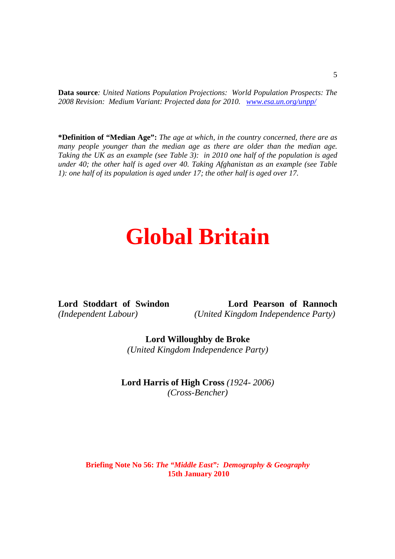**Data source***: United Nations Population Projections: World Population Prospects: The 2008 Revision: Medium Variant: Projected data for 2010. www.esa.un.org/unpp/* 

**\*Definition of "Median Age":** *The age at which, in the country concerned, there are as many people younger than the median age as there are older than the median age. Taking the UK as an example (see Table 3): in 2010 one half of the population is aged under 40; the other half is aged over 40. Taking Afghanistan as an example (see Table 1): one half of its population is aged under 17; the other half is aged over 17.* 

## **Global Britain**

**Lord Stoddart of Swindon Lord Pearson of Rannoch** *(Independent Labour) (United Kingdom Independence Party)* 

> **Lord Willoughby de Broke**  *(United Kingdom Independence Party)*

**Lord Harris of High Cross** *(1924- 2006) (Cross-Bencher)* 

#### **Briefing Note No 56:** *The "Middle East": Demography & Geography*  **15th January 2010**